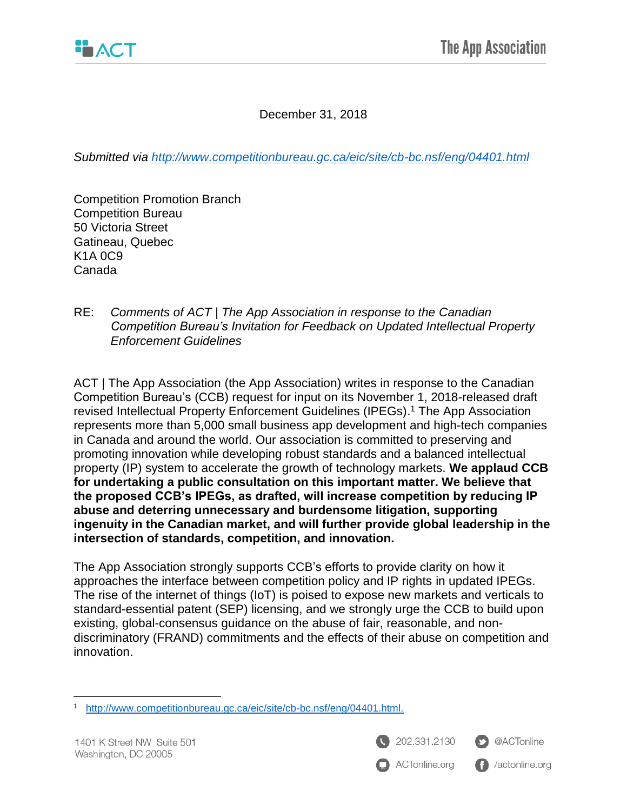December 31, 2018

*Submitted via<http://www.competitionbureau.gc.ca/eic/site/cb-bc.nsf/eng/04401.html>*

Competition Promotion Branch Competition Bureau 50 Victoria Street Gatineau, Quebec K1A 0C9 Canada

RE: *Comments of ACT | The App Association in response to the Canadian Competition Bureau's Invitation for Feedback on Updated Intellectual Property Enforcement Guidelines*

ACT | The App Association (the App Association) writes in response to the Canadian Competition Bureau's (CCB) request for input on its November 1, 2018-released draft revised Intellectual Property Enforcement Guidelines (IPEGs). <sup>1</sup> The App Association represents more than 5,000 small business app development and high-tech companies in Canada and around the world. Our association is committed to preserving and promoting innovation while developing robust standards and a balanced intellectual property (IP) system to accelerate the growth of technology markets. **We applaud CCB for undertaking a public consultation on this important matter. We believe that the proposed CCB's IPEGs, as drafted, will increase competition by reducing IP abuse and deterring unnecessary and burdensome litigation, supporting ingenuity in the Canadian market, and will further provide global leadership in the intersection of standards, competition, and innovation.**

The App Association strongly supports CCB's efforts to provide clarity on how it approaches the interface between competition policy and IP rights in updated IPEGs. The rise of the internet of things (IoT) is poised to expose new markets and verticals to standard-essential patent (SEP) licensing, and we strongly urge the CCB to build upon existing, global-consensus guidance on the abuse of fair, reasonable, and nondiscriminatory (FRAND) commitments and the effects of their abuse on competition and innovation.

 $\overline{\phantom{a}}$ 

202.331.2130 ACTonline.org



**f** /actonline.org

<sup>1</sup> [http://www.competitionbureau.gc.ca/eic/site/cb-bc.nsf/eng/04401.html.](http://www.competitionbureau.gc.ca/eic/site/cb-bc.nsf/eng/04401.html)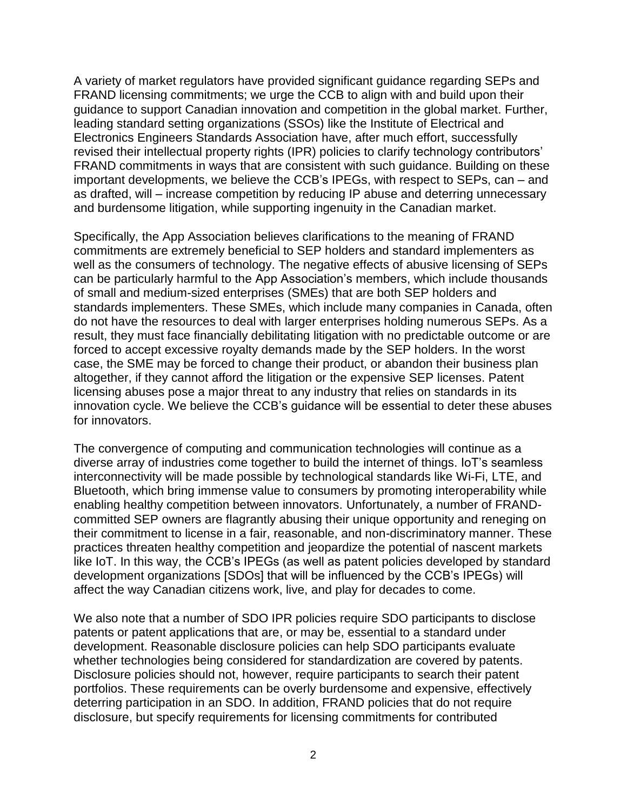A variety of market regulators have provided significant guidance regarding SEPs and FRAND licensing commitments; we urge the CCB to align with and build upon their guidance to support Canadian innovation and competition in the global market. Further, leading standard setting organizations (SSOs) like the Institute of Electrical and Electronics Engineers Standards Association have, after much effort, successfully revised their intellectual property rights (IPR) policies to clarify technology contributors' FRAND commitments in ways that are consistent with such guidance. Building on these important developments, we believe the CCB's IPEGs, with respect to SEPs, can – and as drafted, will – increase competition by reducing IP abuse and deterring unnecessary and burdensome litigation, while supporting ingenuity in the Canadian market.

Specifically, the App Association believes clarifications to the meaning of FRAND commitments are extremely beneficial to SEP holders and standard implementers as well as the consumers of technology. The negative effects of abusive licensing of SEPs can be particularly harmful to the App Association's members, which include thousands of small and medium-sized enterprises (SMEs) that are both SEP holders and standards implementers. These SMEs, which include many companies in Canada, often do not have the resources to deal with larger enterprises holding numerous SEPs. As a result, they must face financially debilitating litigation with no predictable outcome or are forced to accept excessive royalty demands made by the SEP holders. In the worst case, the SME may be forced to change their product, or abandon their business plan altogether, if they cannot afford the litigation or the expensive SEP licenses. Patent licensing abuses pose a major threat to any industry that relies on standards in its innovation cycle. We believe the CCB's guidance will be essential to deter these abuses for innovators.

The convergence of computing and communication technologies will continue as a diverse array of industries come together to build the internet of things. IoT's seamless interconnectivity will be made possible by technological standards like Wi-Fi, LTE, and Bluetooth, which bring immense value to consumers by promoting interoperability while enabling healthy competition between innovators. Unfortunately, a number of FRANDcommitted SEP owners are flagrantly abusing their unique opportunity and reneging on their commitment to license in a fair, reasonable, and non-discriminatory manner. These practices threaten healthy competition and jeopardize the potential of nascent markets like IoT. In this way, the CCB's IPEGs (as well as patent policies developed by standard development organizations [SDOs] that will be influenced by the CCB's IPEGs) will affect the way Canadian citizens work, live, and play for decades to come.

We also note that a number of SDO IPR policies require SDO participants to disclose patents or patent applications that are, or may be, essential to a standard under development. Reasonable disclosure policies can help SDO participants evaluate whether technologies being considered for standardization are covered by patents. Disclosure policies should not, however, require participants to search their patent portfolios. These requirements can be overly burdensome and expensive, effectively deterring participation in an SDO. In addition, FRAND policies that do not require disclosure, but specify requirements for licensing commitments for contributed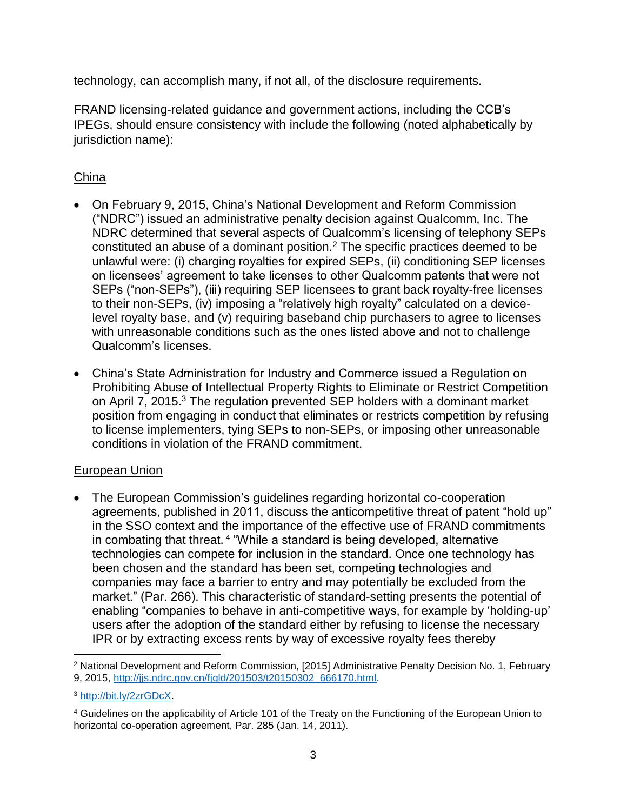technology, can accomplish many, if not all, of the disclosure requirements.

FRAND licensing-related guidance and government actions, including the CCB's IPEGs, should ensure consistency with include the following (noted alphabetically by jurisdiction name):

## China

- On February 9, 2015, China's National Development and Reform Commission ("NDRC") issued an administrative penalty decision against Qualcomm, Inc. The NDRC determined that several aspects of Qualcomm's licensing of telephony SEPs constituted an abuse of a dominant position.<sup>2</sup> The specific practices deemed to be unlawful were: (i) charging royalties for expired SEPs, (ii) conditioning SEP licenses on licensees' agreement to take licenses to other Qualcomm patents that were not SEPs ("non-SEPs"), (iii) requiring SEP licensees to grant back royalty-free licenses to their non-SEPs, (iv) imposing a "relatively high royalty" calculated on a devicelevel royalty base, and (v) requiring baseband chip purchasers to agree to licenses with unreasonable conditions such as the ones listed above and not to challenge Qualcomm's licenses.
- China's State Administration for Industry and Commerce issued a Regulation on Prohibiting Abuse of Intellectual Property Rights to Eliminate or Restrict Competition on April 7, 2015.<sup>3</sup> The regulation prevented SEP holders with a dominant market position from engaging in conduct that eliminates or restricts competition by refusing to license implementers, tying SEPs to non-SEPs, or imposing other unreasonable conditions in violation of the FRAND commitment.

## European Union

• The European Commission's guidelines regarding horizontal co-cooperation agreements, published in 2011, discuss the anticompetitive threat of patent "hold up" in the SSO context and the importance of the effective use of FRAND commitments in combating that threat. <sup>4</sup> "While a standard is being developed, alternative technologies can compete for inclusion in the standard. Once one technology has been chosen and the standard has been set, competing technologies and companies may face a barrier to entry and may potentially be excluded from the market." (Par. 266). This characteristic of standard-setting presents the potential of enabling "companies to behave in anti-competitive ways, for example by 'holding-up' users after the adoption of the standard either by refusing to license the necessary IPR or by extracting excess rents by way of excessive royalty fees thereby

l <sup>2</sup> National Development and Reform Commission, [2015] Administrative Penalty Decision No. 1, February 9, 2015, [http://jjs.ndrc.gov.cn/fjgld/201503/t20150302\\_666170.html.](http://jjs.ndrc.gov.cn/fjgld/201503/t20150302_666170.html)

<sup>3</sup> [http://bit.ly/2zrGDcX.](http://bit.ly/2zrGDcX)

<sup>4</sup> Guidelines on the applicability of Article 101 of the Treaty on the Functioning of the European Union to horizontal co-operation agreement, Par. 285 (Jan. 14, 2011).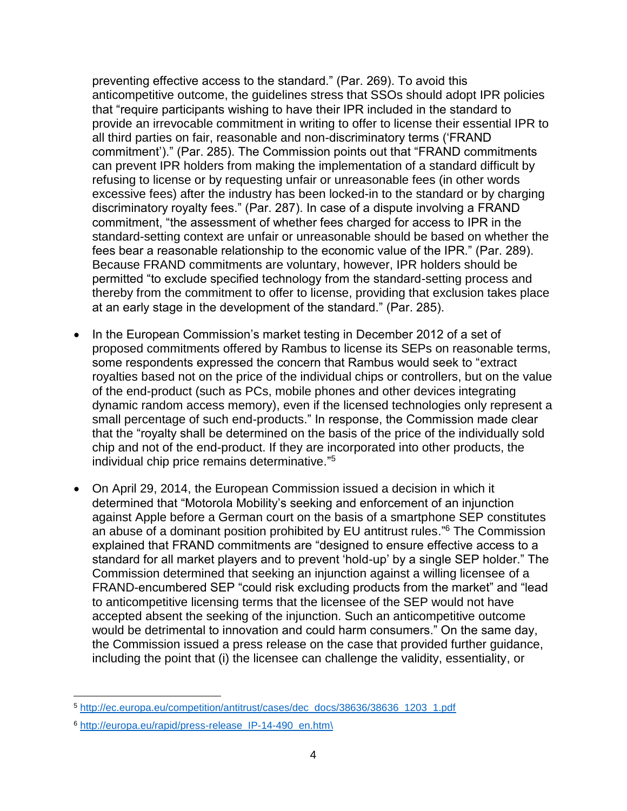preventing effective access to the standard." (Par. 269). To avoid this anticompetitive outcome, the guidelines stress that SSOs should adopt IPR policies that "require participants wishing to have their IPR included in the standard to provide an irrevocable commitment in writing to offer to license their essential IPR to all third parties on fair, reasonable and non-discriminatory terms ('FRAND commitment')." (Par. 285). The Commission points out that "FRAND commitments can prevent IPR holders from making the implementation of a standard difficult by refusing to license or by requesting unfair or unreasonable fees (in other words excessive fees) after the industry has been locked-in to the standard or by charging discriminatory royalty fees." (Par. 287). In case of a dispute involving a FRAND commitment, "the assessment of whether fees charged for access to IPR in the standard-setting context are unfair or unreasonable should be based on whether the fees bear a reasonable relationship to the economic value of the IPR." (Par. 289). Because FRAND commitments are voluntary, however, IPR holders should be permitted "to exclude specified technology from the standard-setting process and thereby from the commitment to offer to license, providing that exclusion takes place at an early stage in the development of the standard." (Par. 285).

- In the European Commission's market testing in December 2012 of a set of proposed commitments offered by Rambus to license its SEPs on reasonable terms, some respondents expressed the concern that Rambus would seek to "extract royalties based not on the price of the individual chips or controllers, but on the value of the end-product (such as PCs, mobile phones and other devices integrating dynamic random access memory), even if the licensed technologies only represent a small percentage of such end-products." In response, the Commission made clear that the "royalty shall be determined on the basis of the price of the individually sold chip and not of the end-product. If they are incorporated into other products, the individual chip price remains determinative." 5
- On April 29, 2014, the European Commission issued a decision in which it determined that "Motorola Mobility's seeking and enforcement of an injunction against Apple before a German court on the basis of a smartphone SEP constitutes an abuse of a dominant position prohibited by EU antitrust rules." <sup>6</sup> The Commission explained that FRAND commitments are "designed to ensure effective access to a standard for all market players and to prevent 'hold-up' by a single SEP holder." The Commission determined that seeking an injunction against a willing licensee of a FRAND-encumbered SEP "could risk excluding products from the market" and "lead to anticompetitive licensing terms that the licensee of the SEP would not have accepted absent the seeking of the injunction. Such an anticompetitive outcome would be detrimental to innovation and could harm consumers." On the same day, the Commission issued a press release on the case that provided further guidance, including the point that (i) the licensee can challenge the validity, essentiality, or

 $\overline{a}$ 

<sup>5</sup> [http://ec.europa.eu/competition/antitrust/cases/dec\\_docs/38636/38636\\_1203\\_1.pdf](http://ec.europa.eu/competition/antitrust/cases/dec_docs/38636/38636_1203_1.pdf)

<sup>6</sup> [http://europa.eu/rapid/press-release\\_IP-14-490\\_en.htm\](http://europa.eu/rapid/press-release_IP-14-490_en.htm/)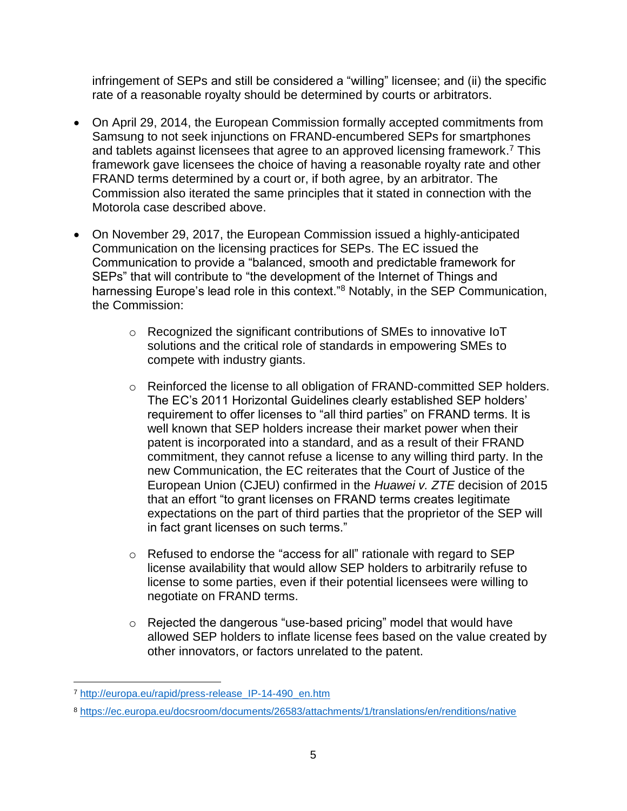infringement of SEPs and still be considered a "willing" licensee; and (ii) the specific rate of a reasonable royalty should be determined by courts or arbitrators.

- On April 29, 2014, the European Commission formally accepted commitments from Samsung to not seek injunctions on FRAND-encumbered SEPs for smartphones and tablets against licensees that agree to an approved licensing framework.<sup>7</sup> This framework gave licensees the choice of having a reasonable royalty rate and other FRAND terms determined by a court or, if both agree, by an arbitrator. The Commission also iterated the same principles that it stated in connection with the Motorola case described above.
- On November 29, 2017, the European Commission issued a highly-anticipated Communication on the licensing practices for SEPs. The EC issued the Communication to provide a "balanced, smooth and predictable framework for SEPs" that will contribute to "the development of the Internet of Things and harnessing Europe's lead role in this context."<sup>8</sup> Notably, in the SEP Communication, the Commission:
	- o Recognized the significant contributions of SMEs to innovative IoT solutions and the critical role of standards in empowering SMEs to compete with industry giants.
	- o Reinforced the license to all obligation of FRAND-committed SEP holders. The EC's 2011 Horizontal Guidelines clearly established SEP holders' requirement to offer licenses to "all third parties" on FRAND terms. It is well known that SEP holders increase their market power when their patent is incorporated into a standard, and as a result of their FRAND commitment, they cannot refuse a license to any willing third party. In the new Communication, the EC reiterates that the Court of Justice of the European Union (CJEU) confirmed in the *Huawei v. ZTE* decision of 2015 that an effort "to grant licenses on FRAND terms creates legitimate expectations on the part of third parties that the proprietor of the SEP will in fact grant licenses on such terms."
	- o Refused to endorse the "access for all" rationale with regard to SEP license availability that would allow SEP holders to arbitrarily refuse to license to some parties, even if their potential licensees were willing to negotiate on FRAND terms.
	- $\circ$  Rejected the dangerous "use-based pricing" model that would have allowed SEP holders to inflate license fees based on the value created by other innovators, or factors unrelated to the patent.

l <sup>7</sup> [http://europa.eu/rapid/press-release\\_IP-14-490\\_en.htm](http://europa.eu/rapid/press-release_IP-14-490_en.htm)

<sup>8</sup> <https://ec.europa.eu/docsroom/documents/26583/attachments/1/translations/en/renditions/native>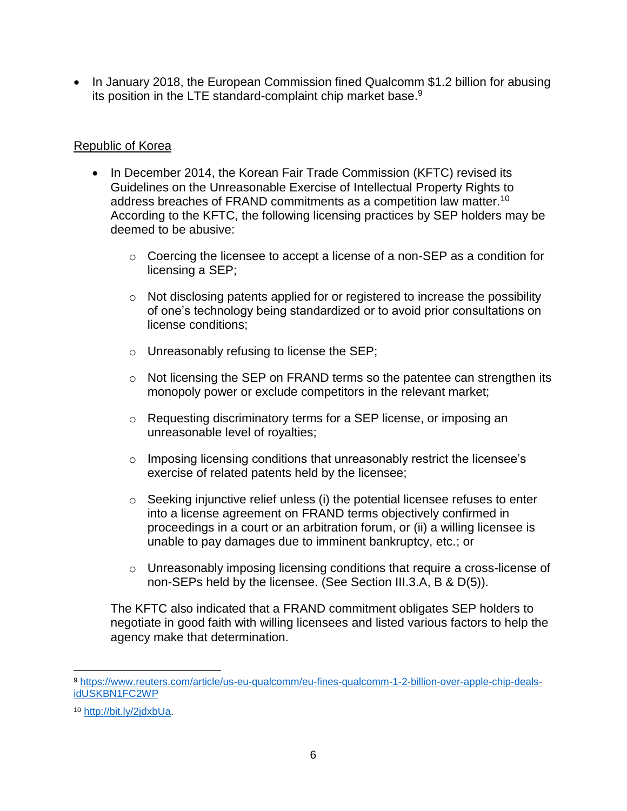• In January 2018, the European Commission fined Qualcomm \$1.2 billion for abusing its position in the LTE standard-complaint chip market base.<sup>9</sup>

## Republic of Korea

- In December 2014, the Korean Fair Trade Commission (KFTC) revised its Guidelines on the Unreasonable Exercise of Intellectual Property Rights to address breaches of FRAND commitments as a competition law matter.<sup>10</sup> According to the KFTC, the following licensing practices by SEP holders may be deemed to be abusive:
	- o Coercing the licensee to accept a license of a non-SEP as a condition for licensing a SEP;
	- $\circ$  Not disclosing patents applied for or registered to increase the possibility of one's technology being standardized or to avoid prior consultations on license conditions;
	- o Unreasonably refusing to license the SEP;
	- o Not licensing the SEP on FRAND terms so the patentee can strengthen its monopoly power or exclude competitors in the relevant market;
	- o Requesting discriminatory terms for a SEP license, or imposing an unreasonable level of royalties;
	- o Imposing licensing conditions that unreasonably restrict the licensee's exercise of related patents held by the licensee;
	- $\circ$  Seeking injunctive relief unless (i) the potential licensee refuses to enter into a license agreement on FRAND terms objectively confirmed in proceedings in a court or an arbitration forum, or (ii) a willing licensee is unable to pay damages due to imminent bankruptcy, etc.; or
	- o Unreasonably imposing licensing conditions that require a cross-license of non-SEPs held by the licensee. (See Section III.3.A, B & D(5)).

The KFTC also indicated that a FRAND commitment obligates SEP holders to negotiate in good faith with willing licensees and listed various factors to help the agency make that determination.

 $\overline{\phantom{a}}$ 

<sup>9</sup> [https://www.reuters.com/article/us-eu-qualcomm/eu-fines-qualcomm-1-2-billion-over-apple-chip-deals](https://www.reuters.com/article/us-eu-qualcomm/eu-fines-qualcomm-1-2-billion-over-apple-chip-deals-idUSKBN1FC2WP)[idUSKBN1FC2WP](https://www.reuters.com/article/us-eu-qualcomm/eu-fines-qualcomm-1-2-billion-over-apple-chip-deals-idUSKBN1FC2WP)

<sup>10</sup> [http://bit.ly/2jdxbUa.](http://bit.ly/2jdxbUa)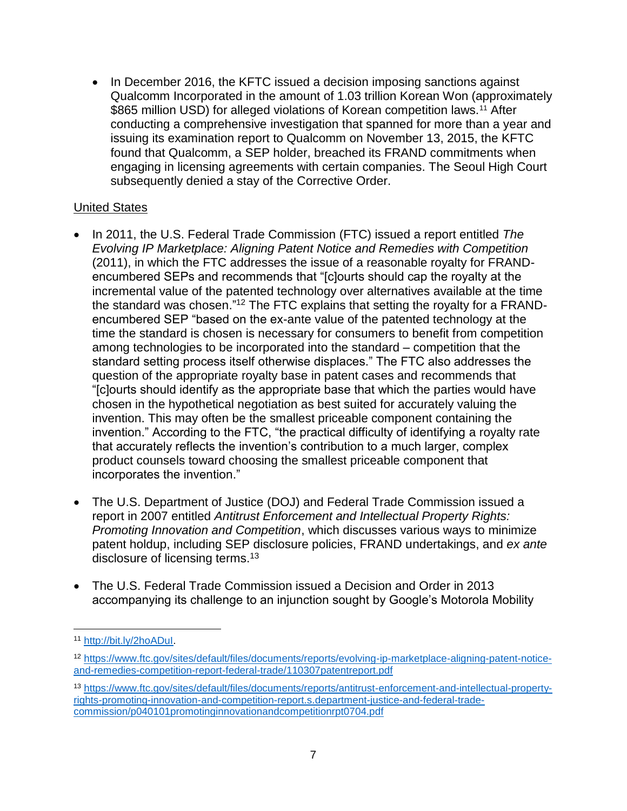• In December 2016, the KFTC issued a decision imposing sanctions against Qualcomm Incorporated in the amount of 1.03 trillion Korean Won (approximately \$865 million USD) for alleged violations of Korean competition laws.<sup>11</sup> After conducting a comprehensive investigation that spanned for more than a year and issuing its examination report to Qualcomm on November 13, 2015, the KFTC found that Qualcomm, a SEP holder, breached its FRAND commitments when engaging in licensing agreements with certain companies. The Seoul High Court subsequently denied a stay of the Corrective Order.

## United States

- In 2011, the U.S. Federal Trade Commission (FTC) issued a report entitled *The Evolving IP Marketplace: Aligning Patent Notice and Remedies with Competition* (2011), in which the FTC addresses the issue of a reasonable royalty for FRANDencumbered SEPs and recommends that "[c]ourts should cap the royalty at the incremental value of the patented technology over alternatives available at the time the standard was chosen."<sup>12</sup> The FTC explains that setting the royalty for a FRANDencumbered SEP "based on the ex-ante value of the patented technology at the time the standard is chosen is necessary for consumers to benefit from competition among technologies to be incorporated into the standard – competition that the standard setting process itself otherwise displaces." The FTC also addresses the question of the appropriate royalty base in patent cases and recommends that "[c]ourts should identify as the appropriate base that which the parties would have chosen in the hypothetical negotiation as best suited for accurately valuing the invention. This may often be the smallest priceable component containing the invention." According to the FTC, "the practical difficulty of identifying a royalty rate that accurately reflects the invention's contribution to a much larger, complex product counsels toward choosing the smallest priceable component that incorporates the invention."
- The U.S. Department of Justice (DOJ) and Federal Trade Commission issued a report in 2007 entitled *Antitrust Enforcement and Intellectual Property Rights: Promoting Innovation and Competition*, which discusses various ways to minimize patent holdup, including SEP disclosure policies, FRAND undertakings, and *ex ante*  disclosure of licensing terms.<sup>13</sup>
- The U.S. Federal Trade Commission issued a Decision and Order in 2013 accompanying its challenge to an injunction sought by Google's Motorola Mobility

 $\overline{\phantom{a}}$ 

<sup>11</sup> [http://bit.ly/2hoADuI.](http://bit.ly/2hoADuI) 

<sup>12</sup> [https://www.ftc.gov/sites/default/files/documents/reports/evolving-ip-marketplace-aligning-patent-notice](https://www.ftc.gov/sites/default/files/documents/reports/evolving-ip-marketplace-aligning-patent-notice-and-remedies-competition-report-federal-trade/110307patentreport.pdf)[and-remedies-competition-report-federal-trade/110307patentreport.pdf](https://www.ftc.gov/sites/default/files/documents/reports/evolving-ip-marketplace-aligning-patent-notice-and-remedies-competition-report-federal-trade/110307patentreport.pdf)

<sup>13</sup> [https://www.ftc.gov/sites/default/files/documents/reports/antitrust-enforcement-and-intellectual-property](https://www.ftc.gov/sites/default/files/documents/reports/antitrust-enforcement-and-intellectual-property-rights-promoting-innovation-and-competition-report.s.department-justice-and-federal-trade-commission/p040101promotinginnovationandcompetitionrpt0704.pdf)[rights-promoting-innovation-and-competition-report.s.department-justice-and-federal-trade](https://www.ftc.gov/sites/default/files/documents/reports/antitrust-enforcement-and-intellectual-property-rights-promoting-innovation-and-competition-report.s.department-justice-and-federal-trade-commission/p040101promotinginnovationandcompetitionrpt0704.pdf)[commission/p040101promotinginnovationandcompetitionrpt0704.pdf](https://www.ftc.gov/sites/default/files/documents/reports/antitrust-enforcement-and-intellectual-property-rights-promoting-innovation-and-competition-report.s.department-justice-and-federal-trade-commission/p040101promotinginnovationandcompetitionrpt0704.pdf)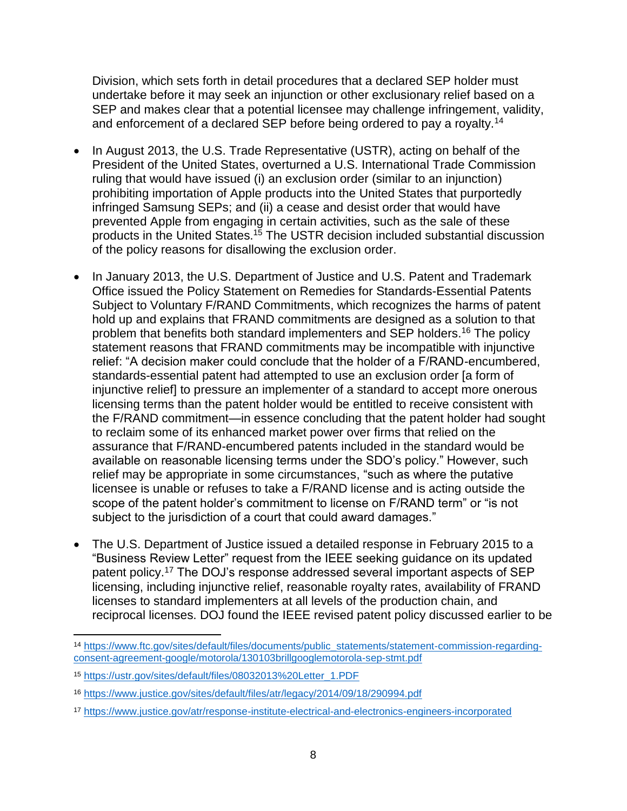Division, which sets forth in detail procedures that a declared SEP holder must undertake before it may seek an injunction or other exclusionary relief based on a SEP and makes clear that a potential licensee may challenge infringement, validity, and enforcement of a declared SEP before being ordered to pay a royalty.<sup>14</sup>

- In August 2013, the U.S. Trade Representative (USTR), acting on behalf of the President of the United States, overturned a U.S. International Trade Commission ruling that would have issued (i) an exclusion order (similar to an injunction) prohibiting importation of Apple products into the United States that purportedly infringed Samsung SEPs; and (ii) a cease and desist order that would have prevented Apple from engaging in certain activities, such as the sale of these products in the United States.<sup>15</sup> The USTR decision included substantial discussion of the policy reasons for disallowing the exclusion order.
- In January 2013, the U.S. Department of Justice and U.S. Patent and Trademark Office issued the Policy Statement on Remedies for Standards-Essential Patents Subject to Voluntary F/RAND Commitments, which recognizes the harms of patent hold up and explains that FRAND commitments are designed as a solution to that problem that benefits both standard implementers and SEP holders.<sup>16</sup> The policy statement reasons that FRAND commitments may be incompatible with injunctive relief: "A decision maker could conclude that the holder of a F/RAND-encumbered, standards-essential patent had attempted to use an exclusion order [a form of injunctive relief] to pressure an implementer of a standard to accept more onerous licensing terms than the patent holder would be entitled to receive consistent with the F/RAND commitment—in essence concluding that the patent holder had sought to reclaim some of its enhanced market power over firms that relied on the assurance that F/RAND-encumbered patents included in the standard would be available on reasonable licensing terms under the SDO's policy." However, such relief may be appropriate in some circumstances, "such as where the putative licensee is unable or refuses to take a F/RAND license and is acting outside the scope of the patent holder's commitment to license on F/RAND term" or "is not subject to the jurisdiction of a court that could award damages."
- The U.S. Department of Justice issued a detailed response in February 2015 to a "Business Review Letter" request from the IEEE seeking guidance on its updated patent policy.<sup>17</sup> The DOJ's response addressed several important aspects of SEP licensing, including injunctive relief, reasonable royalty rates, availability of FRAND licenses to standard implementers at all levels of the production chain, and reciprocal licenses. DOJ found the IEEE revised patent policy discussed earlier to be

 $\overline{\phantom{a}}$ <sup>14</sup> [https://www.ftc.gov/sites/default/files/documents/public\\_statements/statement-commission-regarding](https://www.ftc.gov/sites/default/files/documents/public_statements/statement-commission-regarding-consent-agreement-google/motorola/130103brillgooglemotorola-sep-stmt.pdf)[consent-agreement-google/motorola/130103brillgooglemotorola-sep-stmt.pdf](https://www.ftc.gov/sites/default/files/documents/public_statements/statement-commission-regarding-consent-agreement-google/motorola/130103brillgooglemotorola-sep-stmt.pdf)

<sup>15</sup> [https://ustr.gov/sites/default/files/08032013%20Letter\\_1.PDF](https://ustr.gov/sites/default/files/08032013%20Letter_1.PDF)

<sup>16</sup> <https://www.justice.gov/sites/default/files/atr/legacy/2014/09/18/290994.pdf>

<sup>17</sup> <https://www.justice.gov/atr/response-institute-electrical-and-electronics-engineers-incorporated>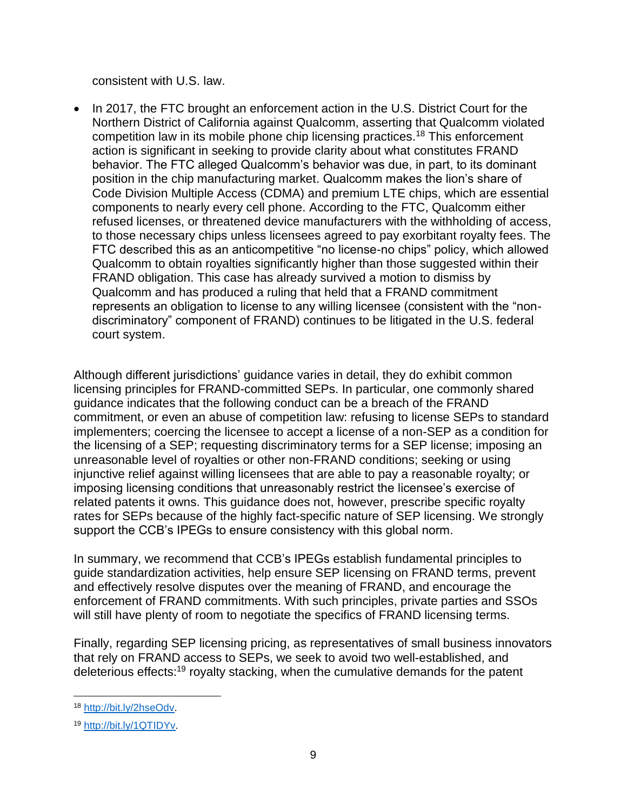consistent with U.S. law.

In 2017, the FTC brought an enforcement action in the U.S. District Court for the Northern District of California against Qualcomm, asserting that Qualcomm violated competition law in its mobile phone chip licensing practices.<sup>18</sup> This enforcement action is significant in seeking to provide clarity about what constitutes FRAND behavior. The FTC alleged Qualcomm's behavior was due, in part, to its dominant position in the chip manufacturing market. Qualcomm makes the lion's share of Code Division Multiple Access (CDMA) and premium LTE chips, which are essential components to nearly every cell phone. According to the FTC, Qualcomm either refused licenses, or threatened device manufacturers with the withholding of access, to those necessary chips unless licensees agreed to pay exorbitant royalty fees. The FTC described this as an anticompetitive "no license-no chips" policy, which allowed Qualcomm to obtain royalties significantly higher than those suggested within their FRAND obligation. This case has already survived a motion to dismiss by Qualcomm and has produced a ruling that held that a FRAND commitment represents an obligation to license to any willing licensee (consistent with the "nondiscriminatory" component of FRAND) continues to be litigated in the U.S. federal court system.

Although different jurisdictions' guidance varies in detail, they do exhibit common licensing principles for FRAND-committed SEPs. In particular, one commonly shared guidance indicates that the following conduct can be a breach of the FRAND commitment, or even an abuse of competition law: refusing to license SEPs to standard implementers; coercing the licensee to accept a license of a non-SEP as a condition for the licensing of a SEP; requesting discriminatory terms for a SEP license; imposing an unreasonable level of royalties or other non-FRAND conditions; seeking or using injunctive relief against willing licensees that are able to pay a reasonable royalty; or imposing licensing conditions that unreasonably restrict the licensee's exercise of related patents it owns. This guidance does not, however, prescribe specific royalty rates for SEPs because of the highly fact-specific nature of SEP licensing. We strongly support the CCB's IPEGs to ensure consistency with this global norm.

In summary, we recommend that CCB's IPEGs establish fundamental principles to guide standardization activities, help ensure SEP licensing on FRAND terms, prevent and effectively resolve disputes over the meaning of FRAND, and encourage the enforcement of FRAND commitments. With such principles, private parties and SSOs will still have plenty of room to negotiate the specifics of FRAND licensing terms.

Finally, regarding SEP licensing pricing, as representatives of small business innovators that rely on FRAND access to SEPs, we seek to avoid two well-established, and deleterious effects:<sup>19</sup> royalty stacking, when the cumulative demands for the patent

 $\overline{a}$ <sup>18</sup> [http://bit.ly/2hseOdv.](http://bit.ly/2hseOdv)

<sup>19</sup> [http://bit.ly/1QTIDYv.](http://bit.ly/1QTIDYv)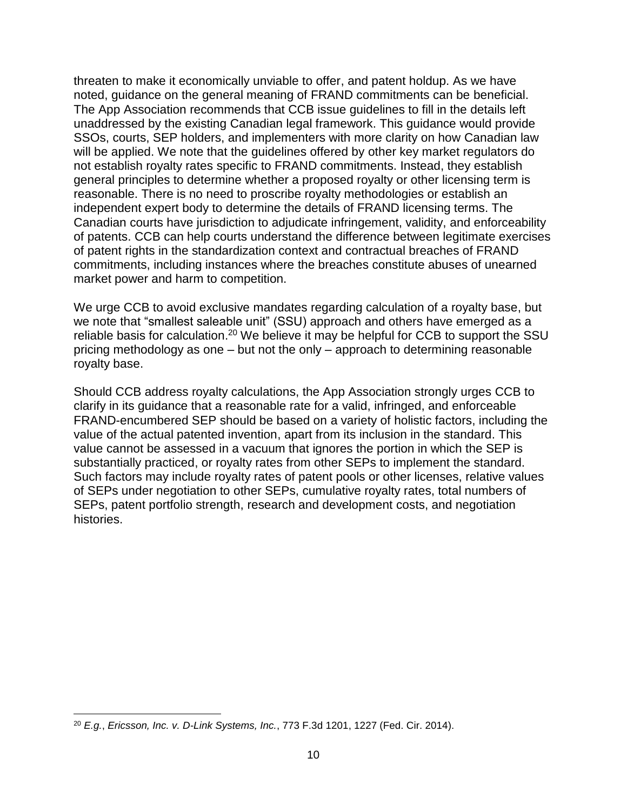threaten to make it economically unviable to offer, and patent holdup. As we have noted, guidance on the general meaning of FRAND commitments can be beneficial. The App Association recommends that CCB issue guidelines to fill in the details left unaddressed by the existing Canadian legal framework. This guidance would provide SSOs, courts, SEP holders, and implementers with more clarity on how Canadian law will be applied. We note that the guidelines offered by other key market regulators do not establish royalty rates specific to FRAND commitments. Instead, they establish general principles to determine whether a proposed royalty or other licensing term is reasonable. There is no need to proscribe royalty methodologies or establish an independent expert body to determine the details of FRAND licensing terms. The Canadian courts have jurisdiction to adjudicate infringement, validity, and enforceability of patents. CCB can help courts understand the difference between legitimate exercises of patent rights in the standardization context and contractual breaches of FRAND commitments, including instances where the breaches constitute abuses of unearned market power and harm to competition.

We urge CCB to avoid exclusive mandates regarding calculation of a royalty base, but we note that "smallest saleable unit" (SSU) approach and others have emerged as a reliable basis for calculation.<sup>20</sup> We believe it may be helpful for CCB to support the SSU pricing methodology as one – but not the only – approach to determining reasonable royalty base.

Should CCB address royalty calculations, the App Association strongly urges CCB to clarify in its guidance that a reasonable rate for a valid, infringed, and enforceable FRAND-encumbered SEP should be based on a variety of holistic factors, including the value of the actual patented invention, apart from its inclusion in the standard. This value cannot be assessed in a vacuum that ignores the portion in which the SEP is substantially practiced, or royalty rates from other SEPs to implement the standard. Such factors may include royalty rates of patent pools or other licenses, relative values of SEPs under negotiation to other SEPs, cumulative royalty rates, total numbers of SEPs, patent portfolio strength, research and development costs, and negotiation histories.

 $\overline{\phantom{a}}$ <sup>20</sup> *E.g.*, *Ericsson, Inc. v. D-Link Systems, Inc.*, 773 F.3d 1201, 1227 (Fed. Cir. 2014).